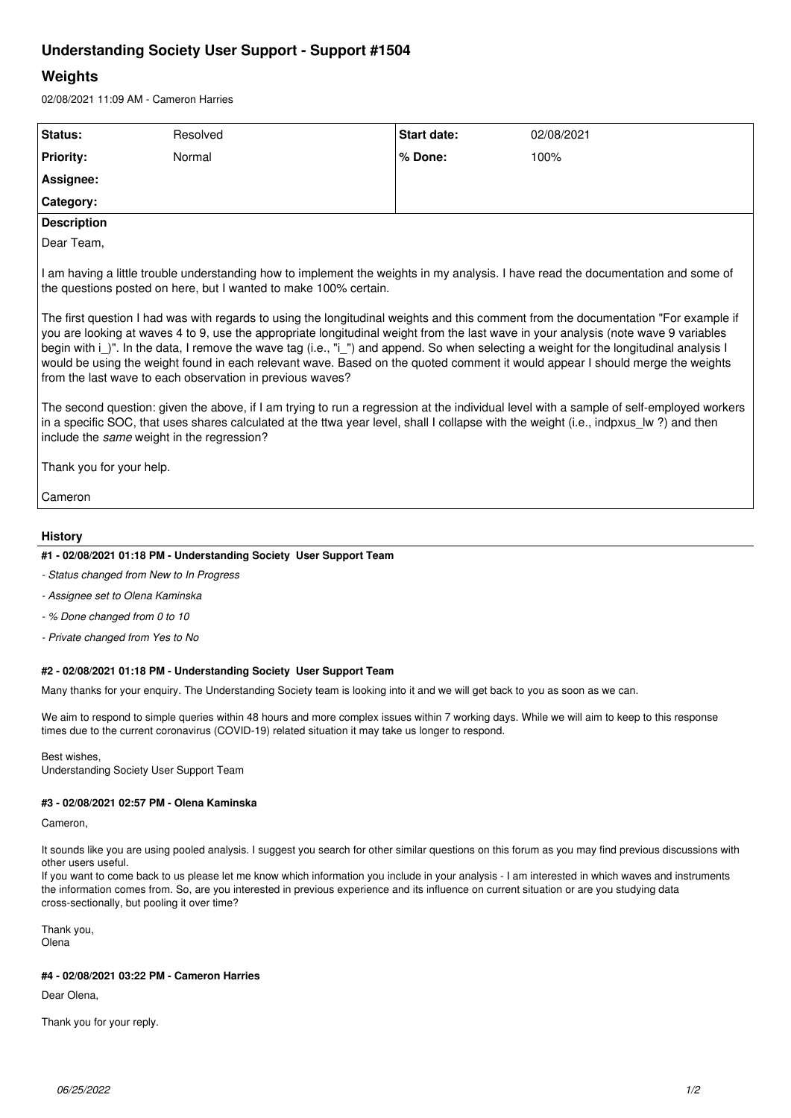# **Understanding Society User Support - Support #1504**

# **Weights**

02/08/2021 11:09 AM - Cameron Harries

| Status:                                                                                                                                                                                                                                                                                                                                                                                                                                                                                                                                                                                                                        | Resolved | Start date: | 02/08/2021 |
|--------------------------------------------------------------------------------------------------------------------------------------------------------------------------------------------------------------------------------------------------------------------------------------------------------------------------------------------------------------------------------------------------------------------------------------------------------------------------------------------------------------------------------------------------------------------------------------------------------------------------------|----------|-------------|------------|
| <b>Priority:</b>                                                                                                                                                                                                                                                                                                                                                                                                                                                                                                                                                                                                               | Normal   | % Done:     | 100%       |
| Assignee:                                                                                                                                                                                                                                                                                                                                                                                                                                                                                                                                                                                                                      |          |             |            |
| Category:                                                                                                                                                                                                                                                                                                                                                                                                                                                                                                                                                                                                                      |          |             |            |
| <b>Description</b>                                                                                                                                                                                                                                                                                                                                                                                                                                                                                                                                                                                                             |          |             |            |
| Dear Team,                                                                                                                                                                                                                                                                                                                                                                                                                                                                                                                                                                                                                     |          |             |            |
| I am having a little trouble understanding how to implement the weights in my analysis. I have read the documentation and some of<br>the questions posted on here, but I wanted to make 100% certain.<br>The first question I had was with regards to using the longitudinal weights and this comment from the documentation "For example if<br>you are looking at waves 4 to 9, use the appropriate longitudinal weight from the last wave in your analysis (note wave 9 variables<br>begin with i_)". In the data, I remove the wave tag (i.e., "i_") and append. So when selecting a weight for the longitudinal analysis I |          |             |            |
| would be using the weight found in each relevant wave. Based on the quoted comment it would appear I should merge the weights<br>from the last wave to each observation in previous waves?                                                                                                                                                                                                                                                                                                                                                                                                                                     |          |             |            |
| The second question: given the above, if I am trying to run a regression at the individual level with a sample of self-employed workers<br>in a specific SOC, that uses shares calculated at the ttwa year level, shall I collapse with the weight (i.e., indpxus Iw?) and then<br>include the same weight in the regression?                                                                                                                                                                                                                                                                                                  |          |             |            |
| Thank you for your help.                                                                                                                                                                                                                                                                                                                                                                                                                                                                                                                                                                                                       |          |             |            |
| Cameron                                                                                                                                                                                                                                                                                                                                                                                                                                                                                                                                                                                                                        |          |             |            |

### **History**

## **#1 - 02/08/2021 01:18 PM - Understanding Society User Support Team**

- *Status changed from New to In Progress*
- *Assignee set to Olena Kaminska*
- *% Done changed from 0 to 10*
- *Private changed from Yes to No*

### **#2 - 02/08/2021 01:18 PM - Understanding Society User Support Team**

Many thanks for your enquiry. The Understanding Society team is looking into it and we will get back to you as soon as we can.

We aim to respond to simple queries within 48 hours and more complex issues within 7 working days. While we will aim to keep to this response times due to the current coronavirus (COVID-19) related situation it may take us longer to respond.

Best wishes, Understanding Society User Support Team

### **#3 - 02/08/2021 02:57 PM - Olena Kaminska**

Cameron,

It sounds like you are using pooled analysis. I suggest you search for other similar questions on this forum as you may find previous discussions with other users useful.

If you want to come back to us please let me know which information you include in your analysis - I am interested in which waves and instruments the information comes from. So, are you interested in previous experience and its influence on current situation or are you studying data cross-sectionally, but pooling it over time?

Thank you, Olena

## **#4 - 02/08/2021 03:22 PM - Cameron Harries**

Dear Olena,

Thank you for your reply.